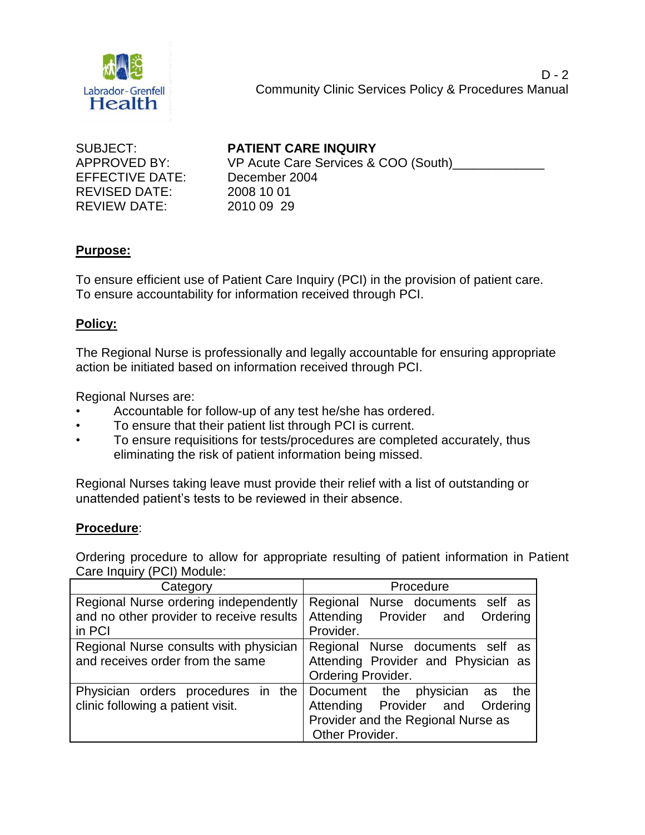

EFFECTIVE DATE: December 2004 REVISED DATE: 2008 10 01 REVIEW DATE: 2010 09 29

SUBJECT: **PATIENT CARE INQUIRY** APPROVED BY: VP Acute Care Services & COO (South)

# **Purpose:**

To ensure efficient use of Patient Care Inquiry (PCI) in the provision of patient care. To ensure accountability for information received through PCI.

### **Policy:**

The Regional Nurse is professionally and legally accountable for ensuring appropriate action be initiated based on information received through PCI.

Regional Nurses are:

- Accountable for follow-up of any test he/she has ordered.
- To ensure that their patient list through PCI is current.
- To ensure requisitions for tests/procedures are completed accurately, thus eliminating the risk of patient information being missed.

Regional Nurses taking leave must provide their relief with a list of outstanding or unattended patient's tests to be reviewed in their absence.

#### **Procedure**:

Ordering procedure to allow for appropriate resulting of patient information in Patient Care Inquiry (PCI) Module:

| Category                                 | Procedure                           |
|------------------------------------------|-------------------------------------|
| Regional Nurse ordering independently    | Regional Nurse documents self as    |
| and no other provider to receive results | Attending Provider and<br>Ordering  |
| in PCI                                   | Provider.                           |
| Regional Nurse consults with physician   | Regional Nurse documents self as    |
| and receives order from the same         | Attending Provider and Physician as |
|                                          | Ordering Provider.                  |
| Physician orders procedures in the       | Document the physician as<br>the    |
| clinic following a patient visit.        | Attending Provider and<br>Ordering  |
|                                          | Provider and the Regional Nurse as  |
|                                          | Other Provider.                     |